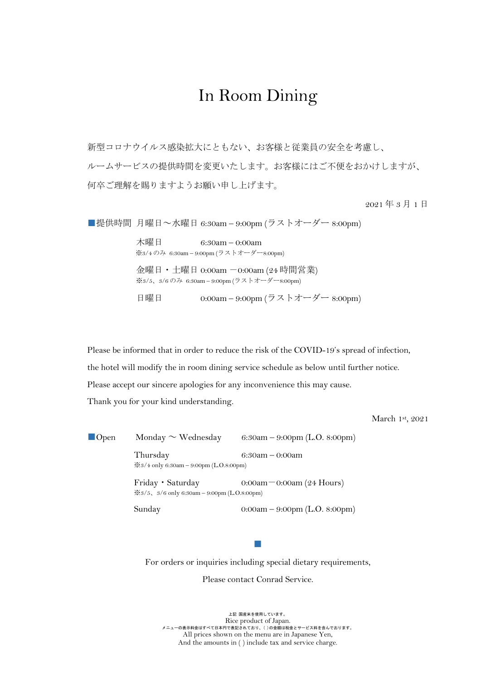# In Room Dining

新型コロナウイルス感染拡大にともない、お客様と従業員の安全を考慮し、 ルームサービスの提供時間を変更いたします。お客様にはご不便をおかけしますが、 何卒ご理解を賜りますようお願い申し上げます。

2021 年 3 月 1 日

■提供時間 月曜日~水曜日 6:30am – 9:00pm (ラストオーダー 8:00pm)

 木曜日 6:30am – 0:00am ※3/4 のみ 6:30am – 9:00pm (ラストオーダー8:00pm) 金曜日・土曜日 0:00am -0:00am (24 時間営業) ※3/5、3/6 のみ 6:30am – 9:00pm (ラストオーダー8:00pm) 日曜日 0:00am – 9:00pm (ラストオーダー 8:00pm)

Please be informed that in order to reduce the risk of the COVID-19's spread of infection,

the hotel will modify the in room dining service schedule as below until further notice.

Please accept our sincere apologies for any inconvenience this may cause.

Thank you for your kind understanding.

March 1st, 2021

 $\blacksquare$  Open Monday  $\sim$  Wednesday 6:30am – 9:00pm (L.O. 8:00pm) Thursday 6:30am – 0:00am ※3/4 only 6:30am – 9:00pm (L.O.8:00pm) Friday Saturday 0:00am - 0:00am (24 Hours) ※3/5、3/6 only 6:30am – 9:00pm (L.O.8:00pm) Sunday 0:00am – 9:00pm (L.O. 8:00pm)

For orders or inquiries including special dietary requirements,

■

Please contact Conrad Service.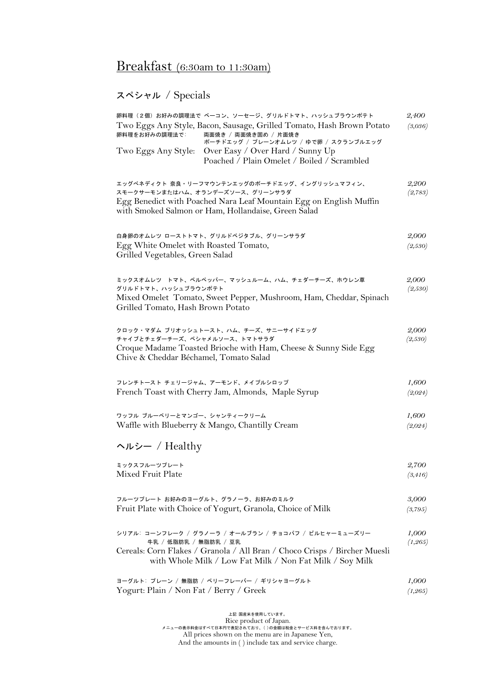# Breakfast (6:30am to 11:30am)

## スペシャル / Specials

| 卵料理(2個)お好みの調理法で ベーコン、ソーセージ、グリルドトマト、ハッシュブラウンポテト<br>Two Eggs Any Style, Bacon, Sausage, Grilled Tomato, Hash Brown Potato<br>卵料理をお好みの調理法で:<br>両面焼き / 両面焼き固め / 片面焼き<br>ポーチドエッグ / プレーンオムレツ / ゆで卵 / スクランブルエッグ<br>Two Eggs Any Style:<br>Over Easy / Over Hard / Sunny Up<br>Poached / Plain Omelet / Boiled / Scrambled | 2,400<br>(3,036)  |
|--------------------------------------------------------------------------------------------------------------------------------------------------------------------------------------------------------------------------------------------------------------------------------------------------------------------|-------------------|
| エッグベネディクト 奈良・リーフマウンテンエッグのポーチドエッグ、イングリッシュマフィン、<br>スモークサーモンまたはハム、オランデーズソース、グリーンサラダ<br>Egg Benedict with Poached Nara Leaf Mountain Egg on English Muffin<br>with Smoked Salmon or Ham, Hollandaise, Green Salad                                                                                                      | 2,200<br>(2,783)  |
| 白身卵のオムレツ ローストトマト、グリルドベジタブル、グリーンサラダ<br>Egg White Omelet with Roasted Tomato,<br>Grilled Vegetables, Green Salad                                                                                                                                                                                                     | 2,000<br>(2,530)  |
| ミックスオムレツ トマト、ベルペッパー、マッシュルーム、ハム、チェダーチーズ、ホウレン草<br>グリルドトマト、ハッシュブラウンポテト<br>Mixed Omelet Tomato, Sweet Pepper, Mushroom, Ham, Cheddar, Spinach<br>Grilled Tomato, Hash Brown Potato                                                                                                                                     | 2,000<br>(2,530)  |
| クロック・マダム ブリオッシュトースト、ハム、チーズ、サニーサイドエッグ<br>チャイブとチェダーチーズ、ベシャメルソース、トマトサラダ<br>Croque Madame Toasted Brioche with Ham, Cheese & Sunny Side Egg<br>Chive & Cheddar Béchamel, Tomato Salad                                                                                                                                  | 2,000<br>(2,530)  |
| フレンチトースト チェリージャム、アーモンド、メイプルシロップ<br>French Toast with Cherry Jam, Almonds, Maple Syrup                                                                                                                                                                                                                              | 1,600<br>(2,024)  |
| ワッフル ブルーベリーとマンゴー、シャンティークリーム<br>Waffle with Blueberry & Mango, Chantilly Cream                                                                                                                                                                                                                                      | 1,600<br>(2,024)  |
| ヘルシー / Healthy                                                                                                                                                                                                                                                                                                     |                   |
| ミックスフルーツプレート<br>Mixed Fruit Plate                                                                                                                                                                                                                                                                                  | 2,700<br>(3, 416) |
| フルーツプレートお好みのヨーグルト、グラノーラ、お好みのミルク<br>Fruit Plate with Choice of Yogurt, Granola, Choice of Milk                                                                                                                                                                                                                      | 3,000<br>(3,795)  |
| シリアル:コーンフレーク / グラノーラ / オールブラン / チョコパフ / ビルヒャーミューズリー<br>牛乳 / 低脂肪乳 / 無脂肪乳 / 豆乳<br>Cereals: Corn Flakes / Granola / All Bran / Choco Crisps / Bircher Muesli<br>with Whole Milk / Low Fat Milk / Non Fat Milk / Soy Milk                                                                                              | 1,000<br>(1, 265) |
| ヨーグルト: プレーン / 無脂肪 / ベリーフレーバー / ギリシャヨーグルト<br>Yogurt: Plain / Non Fat / Berry / Greek                                                                                                                                                                                                                                | 1,000<br>(1, 265) |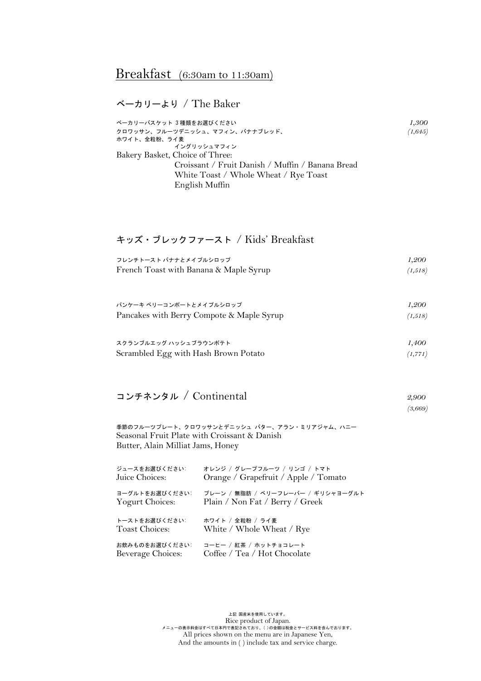## Breakfast (6:30am to 11:30am)

ベーカリーより / The Baker

| ベーカリーバスケット 3種類をお選びください                           | 1,300    |
|--------------------------------------------------|----------|
| クロワッサン、フルーツデニッシュ、マフィン、バナナブレッド、                   | (1, 645) |
| ホワイト、全粒粉、ライ麦                                     |          |
| イングリッシュマフィン                                      |          |
| Bakery Basket, Choice of Three:                  |          |
| Croissant / Fruit Danish / Muffin / Banana Bread |          |
| White Toast / Whole Wheat / Rye Toast            |          |
| English Muffin                                   |          |

#### キッズ・ブレックファースト / Kids' Breakfast

| フレンチトースト バナナとメイプルシロップ                     | 1,200   |
|-------------------------------------------|---------|
| French Toast with Banana & Maple Syrup    | (1,518) |
|                                           |         |
|                                           |         |
| パンケーキ ベリーコンポートとメイプルシロップ                   | 1,200   |
| Pancakes with Berry Compote & Maple Syrup | (1,518) |

| スクランブルエッグ ハッシュブラウンポテト                | 1,400    |
|--------------------------------------|----------|
| Scrambled Egg with Hash Brown Potato | (1, 771) |
|                                      |          |

#### コンチネンタル / Continental *2,900*

*(3,669)*

季節のフルーツプレート、クロワッサンとデニッシュ バター、アラン・ミリアジャム、ハニー Seasonal Fruit Plate with Croissant & Danish Butter, Alain Milliat Jams, Honey

| ジュースをお選びください:     | オレンジ / グレープフルーツ / リンゴ / トマト          |
|-------------------|--------------------------------------|
| Juice Choices:    | Orange / Grapefruit / Apple / Tomato |
| ヨーグルトをお選びください:    | プレーン / 無脂肪 / ベリーフレーバー / ギリシャヨーグルト    |
| Yogurt Choices:   | Plain / Non Fat / Berry / Greek      |
| トーストをお選びください:     | ホワイト / 全粒粉 / ライ麦                     |
| Toast Choices:    | White / Whole Wheat / Rye            |
| お飲みものをお選びください     | コーヒー / 紅茶 / ホットチョコレート                |
| Beverage Choices: | Coffee / Tea / Hot Chocolate         |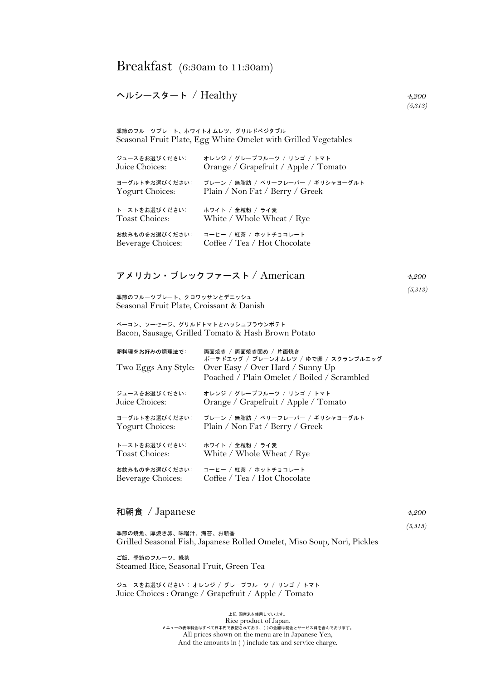#### ヘルシースタート / Healthy *4,200*

季節のフルーツプレート、ホワイトオムレツ、グリルドベジタブル Seasonal Fruit Plate, Egg White Omelet with Grilled Vegetables

| ジュースをお選びください:     | オレンジ / グレープフルーツ / リンゴ / トマト          |
|-------------------|--------------------------------------|
| Juice Choices:    | Orange / Grapefruit / Apple / Tomato |
| ヨーグルトをお選びください:    | プレーン / 無脂肪 / ベリーフレーバー / ギリシャヨーグルト    |
| Yogurt Choices:   | Plain / Non Fat / Berry / Greek      |
| トーストをお選びください:     | ホワイト / 全粒粉 / ライ麦                     |
| Toast Choices:    | White / Whole Wheat / Rye            |
| お飲みものをお選びください:    | コーヒー / 紅茶 / ホットチョコレート                |
| Beverage Choices: | Coffee / Tea / Hot Chocolate         |

| アメリカン・ブレックファースト / American | 4.200 |
|----------------------------|-------|
|----------------------------|-------|

*(5,313)*

季節のフルーツプレート、クロワッサンとデニッシュ Seasonal Fruit Plate, Croissant & Danish

ベーコン、ソーセージ、グリルドトマトとハッシュブラウンポテト Bacon, Sausage, Grilled Tomato & Hash Brown Potato

| 卵料理をお好みの調理法で:<br>Two Eggs Any Style: | 両面焼き / 両面焼き固め / 片面焼き<br>ポーチドエッグ / プレーンオムレツ / ゆで卵 / スクランブルエッグ<br>Over Easy / Over Hard / Sunny Up<br>Poached / Plain Omelet / Boiled / Scrambled |
|--------------------------------------|-------------------------------------------------------------------------------------------------------------------------------------------------|
| ジュースをお選びください:                        | オレンジ / グレープフルーツ / リンゴ / トマト                                                                                                                     |
| Juice Choices:                       | Orange / Grapefruit / Apple / Tomato                                                                                                            |
| ヨーグルトをお選びください:                       | プレーン / 無脂肪 / ベリーフレーバー / ギリシャヨーグルト                                                                                                               |
| Yogurt Choices:                      | Plain / Non Fat / Berry / Greek                                                                                                                 |
| トーストをお選びください:                        | ホワイト / 全粒粉 / ライ麦                                                                                                                                |
| Toast Choices:                       | White / Whole Wheat / Rye                                                                                                                       |
| お飲みものをお選びください                        | コーヒー / 紅茶 / ホットチョコレート                                                                                                                           |
| Beverage Choices:                    | Coffee / Tea / Hot Chocolate                                                                                                                    |

#### 和朝食 / Japanese *4,200*

 *(5,313)*  季節の焼魚、厚焼き卵、味噌汁、海苔、お新香 Grilled Seasonal Fish, Japanese Rolled Omelet, Miso Soup, Nori, Pickles

ご飯、季節のフルーツ、緑茶 Steamed Rice, Seasonal Fruit, Green Tea

ジュースをお選びください : オレンジ / グレープフルーツ / リンゴ / トマト Juice Choices : Orange / Grapefruit / Apple / Tomato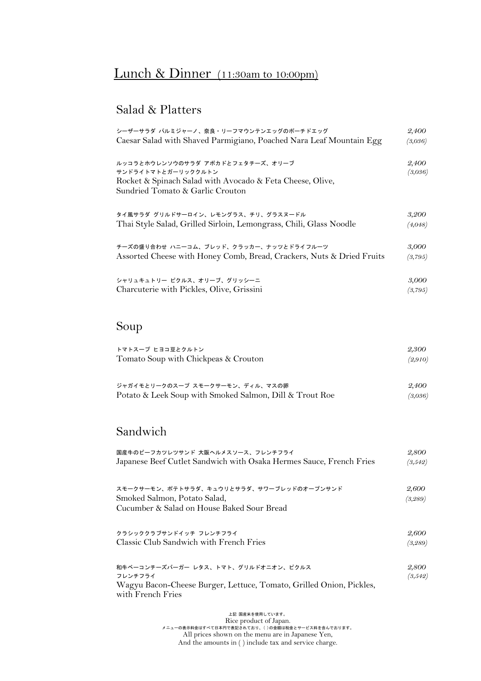# Lunch & Dinner (11:30am to 10:00pm)

### Salad & Platters

| シーザーサラダ パルミジャーノ、奈良・リーフマウンテンエッグのポーチドエッグ                                | 2,400   |
|-----------------------------------------------------------------------|---------|
| Caesar Salad with Shaved Parmigiano, Poached Nara Leaf Mountain Egg   | (3,036) |
| ルッコラとホウレンソウのサラダ アボカドとフェタチーズ、オリーブ                                      | 2,400   |
| サンドライトマトとガーリッククルトン                                                    | (3,036) |
| Rocket & Spinach Salad with Avocado & Feta Cheese, Olive,             |         |
| Sundried Tomato & Garlic Crouton                                      |         |
| タイ風サラダ グリルドサーロイン、レモングラス、チリ、グラスヌードル                                    | 3,200   |
| Thai Style Salad, Grilled Sirloin, Lemongrass, Chili, Glass Noodle    | (4,048) |
| チーズの盛り合わせ ハニーコム、ブレッド、クラッカー、ナッツとドライフルーツ                                | 3,000   |
| Assorted Cheese with Honey Comb, Bread, Crackers, Nuts & Dried Fruits | (3,795) |
| シャリュキュトリー ピクルス、オリーブ、グリッシーニ                                            | 3,000   |
| Charcuterie with Pickles, Olive, Grissini                             | (3,795) |

# Soup

| トマトスープ ヒヨコ豆とクルトン                                        | 2,300   |
|---------------------------------------------------------|---------|
| Tomato Soup with Chickpeas & Crouton                    | (2,910) |
| ジャガイモとリークのスープスモークサーモン、ディル、マスの卵                          | 2,400   |
| Potato & Leek Soup with Smoked Salmon, Dill & Trout Roe | (3,036) |

### Sandwich

| 国産牛のビーフカツレツサンド 大阪ヘルメスソース、フレンチフライ                                                                                                           | 2,800            |
|--------------------------------------------------------------------------------------------------------------------------------------------|------------------|
| Japanese Beef Cutlet Sandwich with Osaka Hermes Sauce, French Fries                                                                        | (3,542)          |
| スモークサーモン、ポテトサラダ、キュウリとサラダ、サワーブレッドのオープンサンド<br>Smoked Salmon, Potato Salad,<br>Cucumber & Salad on House Baked Sour Bread                     | 2,600<br>(3,289) |
| クラシッククラブサンドイッチ フレンチフライ                                                                                                                     | 2,600            |
| Classic Club Sandwich with French Fries                                                                                                    | (3,289)          |
| 和牛ベーコンチーズバーガー レタス、トマト、グリルドオニオン、ピクルス<br>フレンチフライ<br>Wagyu Bacon-Cheese Burger, Lettuce, Tomato, Grilled Onion, Pickles,<br>with French Fries | 2,800<br>(3,542) |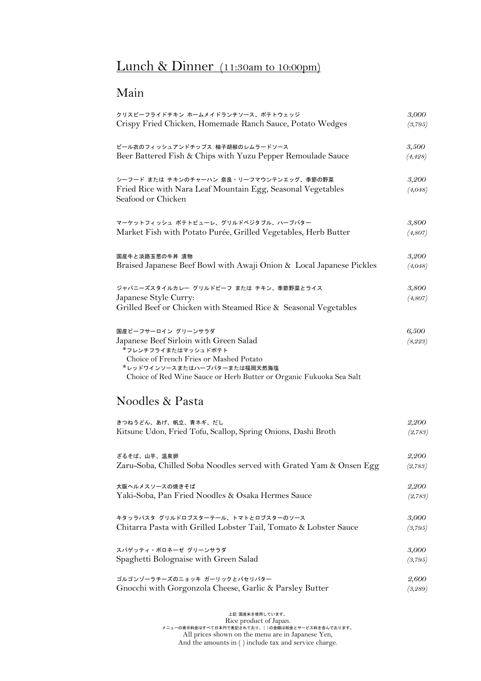# Lunch & Dinner (11:30am to 10:00pm)

## Main

| クリスピーフライドチキン ホームメイドランチソース、ポテトウェッジ                                                        | 3,000    |
|------------------------------------------------------------------------------------------|----------|
| Crispy Fried Chicken, Homemade Ranch Sauce, Potato Wedges                                | (3,795)  |
| ビール衣のフィッシュアンドチップス 柚子胡椒のレムラードソース                                                          | 3,500    |
| Beer Battered Fish & Chips with Yuzu Pepper Remoulade Sauce                              | (4, 428) |
| シーフード または チキンのチャーハン 奈良・リーフマウンテンエッグ、季節の野菜                                                 | 3,200    |
| Fried Rice with Nara Leaf Mountain Egg, Seasonal Vegetables<br>Seafood or Chicken        | (4,048)  |
| マーケットフィッシュ ポテトピューレ、グリルドベジタブル、ハーブバター                                                      | 3,800    |
| Market Fish with Potato Purée, Grilled Vegetables, Herb Butter                           | (4,807)  |
| 国産牛と淡路玉葱の牛丼 漬物                                                                           | 3,200    |
| Braised Japanese Beef Bowl with Awaji Onion & Local Japanese Pickles                     | (4,048)  |
| ジャパニーズスタイルカレー グリルドビーフ または チキン、季節野菜とライス                                                   | 3,800    |
| Japanese Style Curry:<br>Grilled Beef or Chicken with Steamed Rice & Seasonal Vegetables | (4,807)  |
| 国産ビーフサーロイン グリーンサラダ                                                                       | 6,500    |
| Japanese Beef Sirloin with Green Salad                                                   | (8, 223) |
| *フレンチフライまたはマッシュドポテト<br>Choice of French Fries or Mashed Potato                           |          |
| *レッドワインソースまたはハーブバターまたは福岡天然海塩                                                             |          |
| Choice of Red Wine Sauce or Herb Butter or Organic Fukuoka Sea Salt                      |          |
| Noodles & Pasta                                                                          |          |
| きつねうどん、あげ、帆立、青ネギ、だし                                                                      | 2,200    |
| Kitsune Udon, Fried Tofu, Scallop, Spring Onions, Dashi Broth                            | (2,783)  |
| ざるそば、山芋、温泉卵                                                                              | 2,200    |
| Zaru-Soba, Chilled Soba Noodles served with Grated Yam & Onsen Egg                       | (2,783)  |
| 大阪ヘルメスソースの焼きそば                                                                           | 2,200    |
| Yaki-Soba, Pan Fried Noodles & Osaka Hermes Sauce                                        | (2,783)  |
| キタッラパスタ グリルドロブスターテール、トマトとロブスターのソース                                                       | 3,000    |
| Chitarra Pasta with Grilled Lobster Tail, Tomato & Lobster Sauce                         | (3,795)  |
| スパゲッティ・ボロネーゼ グリーンサラダ                                                                     | 3,000    |
| Spaghetti Bolognaise with Green Salad                                                    | (3,795)  |
| ゴルゴンゾーラチーズのニョッキ ガーリックとパセリバター                                                             | 2,600    |
| Gnocchi with Gorgonzola Cheese, Garlic & Parsley Butter                                  | (3,289)  |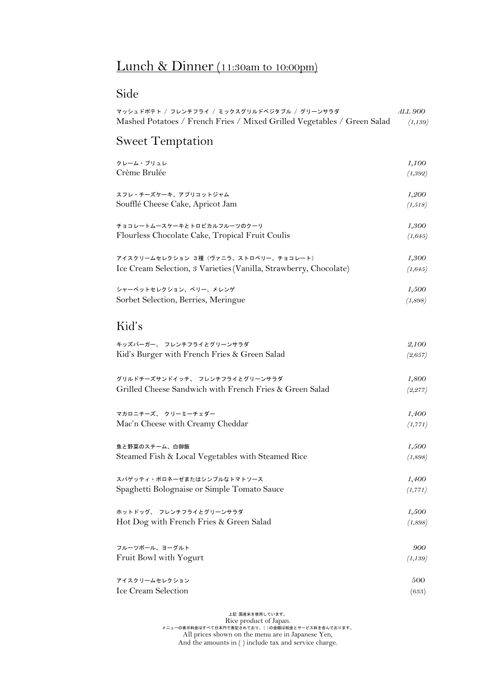# Lunch & Dinner (11:30am to 10:00pm)

## Side

| マッシュドポテト / フレンチフライ / ミックスグリルドベジタブル / グリーンサラダ<br>Mashed Potatoes / French Fries / Mixed Grilled Vegetables / Green Salad | <i>ALL 900</i><br>(1,139) |
|-------------------------------------------------------------------------------------------------------------------------|---------------------------|
| <b>Sweet Temptation</b>                                                                                                 |                           |
| クレーム・ブリュレ                                                                                                               | 1,100                     |
| Crème Brulée                                                                                                            | (1, 392)                  |
| スフレ・チーズケーキ、アプリコットジャム                                                                                                    | 1,200                     |
| Soufflé Cheese Cake, Apricot Jam                                                                                        | (1,518)                   |
| チョコレートムースケーキとトロピカルフルーツのクーリ                                                                                              | 1,300                     |
| Flourless Chocolate Cake, Tropical Fruit Coulis                                                                         | (1, 645)                  |
| アイスクリームセレクション 3種 (ヴァニラ、ストロベリー、チョコレート)                                                                                   | 1,300                     |
| Ice Cream Selection, 3 Varieties (Vanilla, Strawberry, Chocolate)                                                       | (1, 645)                  |
| シャーベットセレクション、ベリー、メレンゲ                                                                                                   | 1,500                     |
| Sorbet Selection, Berries, Meringue                                                                                     | (1,898)                   |
| Kid's                                                                                                                   |                           |
| キッズバーガー、 フレンチフライとグリーンサラダ                                                                                                | 2,100                     |
| Kid's Burger with French Fries & Green Salad                                                                            | (2, 657)                  |
| グリルドチーズサンドイッチ、 フレンチフライとグリーンサラダ                                                                                          | 1,800                     |
| Grilled Cheese Sandwich with French Fries & Green Salad                                                                 | (2, 277)                  |
| マカロニチーズ、クリーミーチェダー                                                                                                       | 1,400                     |
| Mac'n Cheese with Creamy Cheddar                                                                                        | (1, 771)                  |
| 魚と野菜のスチーム、白御飯                                                                                                           | 1,500                     |
| Steamed Fish & Local Vegetables with Steamed Rice                                                                       | (1,898)                   |
| スパゲッティ・ボロネーゼまたはシンプルなトマトソース                                                                                              | 1,400                     |
| Spaghetti Bolognaise or Simple Tomato Sauce                                                                             | (1, 771)                  |
| ホットドッグ、 フレンチフライとグリーンサラダ                                                                                                 | 1,500                     |
| Hot Dog with French Fries & Green Salad                                                                                 | (1,898)                   |
| フルーツボール、ヨーグルト                                                                                                           | 900                       |
| Fruit Bowl with Yogurt                                                                                                  | (1,139)                   |
| アイスクリームセレクション                                                                                                           | 500                       |
| Ice Cream Selection                                                                                                     | (633)                     |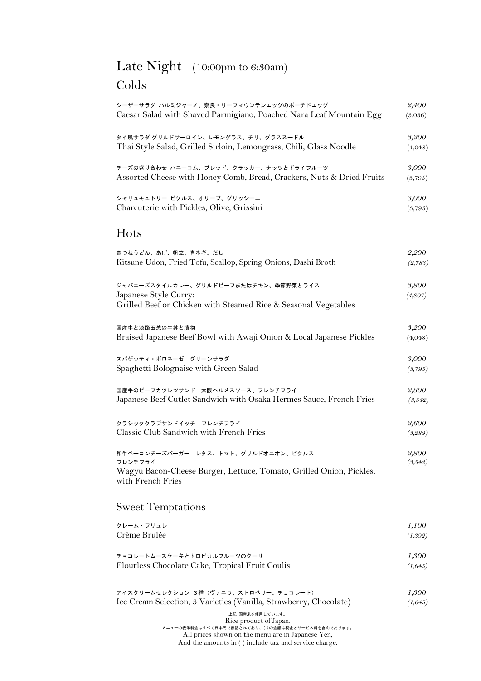## Late Night (10:00pm to 6:30am)

### Colds

| シーザーサラダ パルミジャーノ、奈良・リーフマウンテンエッグのポーチドエッグ<br>Caesar Salad with Shaved Parmigiano, Poached Nara Leaf Mountain Egg                    | 2,400<br>(3,036) |
|----------------------------------------------------------------------------------------------------------------------------------|------------------|
| タイ風サラダ グリルドサーロイン、レモングラス、チリ、グラスヌードル<br>Thai Style Salad, Grilled Sirloin, Lemongrass, Chili, Glass Noodle                         | 3,200<br>(4,048) |
|                                                                                                                                  |                  |
| チーズの盛り合わせ ハニーコム、ブレッド、クラッカー、ナッツとドライフルーツ<br>Assorted Cheese with Honey Comb, Bread, Crackers, Nuts & Dried Fruits                  | 3,000<br>(3,795) |
| シャリュキュトリー ピクルス、オリーブ、グリッシーニ<br>Charcuterie with Pickles, Olive, Grissini                                                          | 3,000<br>(3,795) |
| Hots                                                                                                                             |                  |
| きつねうどん、あげ、帆立、青ネギ、だし<br>Kitsune Udon, Fried Tofu, Scallop, Spring Onions, Dashi Broth                                             | 2,200<br>(2,783) |
| ジャパニーズスタイルカレー、グリルドビーフまたはチキン、季節野菜とライス<br>Japanese Style Curry:<br>Grilled Beef or Chicken with Steamed Rice & Seasonal Vegetables | 3,800<br>(4,807) |
|                                                                                                                                  |                  |
| 国産牛と淡路玉葱の牛丼と漬物<br>Braised Japanese Beef Bowl with Awaji Onion & Local Japanese Pickles                                           | 3,200<br>(4,048) |
| スパゲッティ・ボロネーゼ グリーンサラダ                                                                                                             | 3,000            |
| Spaghetti Bolognaise with Green Salad                                                                                            | (3,795)          |
| 国産牛のビーフカツレツサンド 大阪ヘルメスソース、フレンチフライ<br>Japanese Beef Cutlet Sandwich with Osaka Hermes Sauce, French Fries                          | 2,800<br>(3,542) |
| クラシッククラブサンドイッチ フレンチフライ                                                                                                           | 2,600            |
| Classic Club Sandwich with French Fries                                                                                          | (3, 289)         |

和牛ベーコンチーズバーガー レタス、トマト、グリルドオニオン、ピクルス *2,800* フレンチフライ *(3,542)* Wagyu Bacon-Cheese Burger, Lettuce, Tomato, Grilled Onion, Pickles, with French Fries

#### Sweet Temptations

| クレーム・ブリュレ<br>Crème Brulée                       | 1.100<br>(1,392) |
|-------------------------------------------------|------------------|
| チョコレートムースケーキとトロピカルフルーツのクーリ                      | 1,300            |
| Flourless Chocolate Cake, Tropical Fruit Coulis | (1, 645)         |

| アイスクリームセレクション 3種(ヴァニラ、ストロベリー、チョコレート)                              | 1,300    |
|-------------------------------------------------------------------|----------|
| Ice Cream Selection, 3 Varieties (Vanilla, Strawberry, Chocolate) | (1, 645) |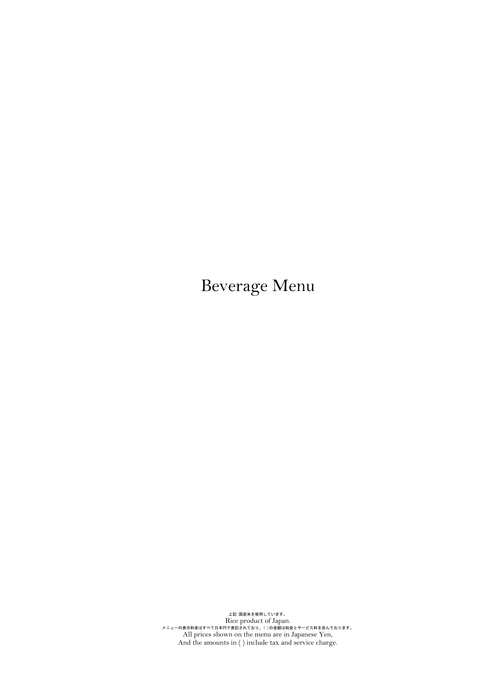Beverage Menu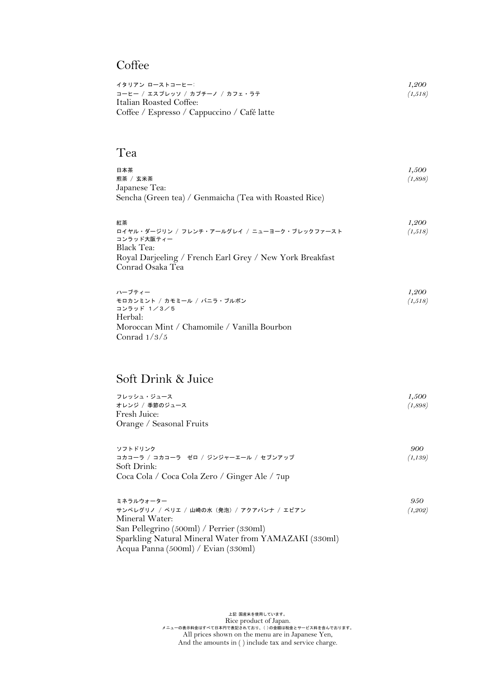## **Coffee**

| イタリアン ローストコーヒー:                             | 1,200   |
|---------------------------------------------|---------|
| コーヒー / エスプレッソ / カプチーノ / カフェ・ラテ              | (1,518) |
| Italian Roasted Coffee:                     |         |
| Coffee / Espresso / Cappuccino / Café latte |         |

#### Tea

| 日本茶<br>煎茶 / 玄米茶<br>Japanese Tea:<br>Sencha (Green tea) / Genmaicha (Tea with Roasted Rice)                                                                    | 1,500<br>(1,898) |
|---------------------------------------------------------------------------------------------------------------------------------------------------------------|------------------|
| 紅茶<br>ロイヤル・ダージリン / フレンチ・アールグレイ / ニューヨーク・ブレックファースト<br>コンラッド大阪ティー<br>Black Tea:<br>Royal Darjeeling / French Earl Grey / New York Breakfast<br>Conrad Osaka Tea | 1,200<br>(1,518) |
| ハーブティー                                                                                                                                                        | 1,200            |

| ハーフティー                                      | 1,200   |
|---------------------------------------------|---------|
| モロカンミント / カモミール / バニラ・ブルボン                  | (1,518) |
| コンラッド 1/3/5                                 |         |
| Herbal:                                     |         |
| Moroccan Mint / Chamomile / Vanilla Bourbon |         |
| Conrad $1/3/5$                              |         |

#### Soft Drink & Juice

| フレッシュ・ジュース                                 | 1,500   |
|--------------------------------------------|---------|
| オレンジ / 季節のジュース                             | (1,898) |
| Fresh Juice:  <br>Orange / Seasonal Fruits |         |
| ソフトドリンク                                    | 900     |
| コカコニラ / コカコニラーギロ / ジンジャニエニル / おづいアップ       | (1190)  |

| コカコーラ / コカコーラ ゼロ / ジンジャーエール / セブンアップ          | (1,139) |
|-----------------------------------------------|---------|
| -Soft Drink:                                  |         |
| Coca Cola / Coca Cola Zero / Ginger Ale / 7up |         |

| ミネラルウォーター                                             | 950      |
|-------------------------------------------------------|----------|
| サンペレグリノ / ペリエ / 山崎の水 (発泡) / アクアパンナ / エビアン             | (1, 202) |
| Mineral Water:                                        |          |
| San Pellegrino (500ml) / Perrier (330ml)              |          |
| Sparkling Natural Mineral Water from YAMAZAKI (330ml) |          |
| Acqua Panna (500ml) / Evian (330ml)                   |          |
|                                                       |          |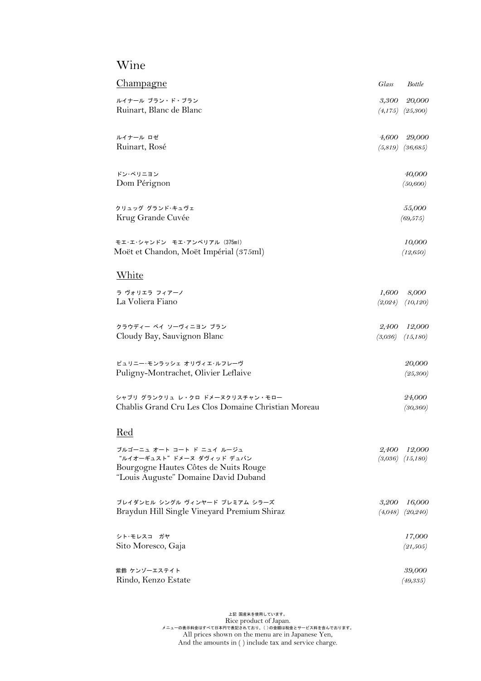## Wine

| Champagne                                                                                                                               | Glass                                | <b>Bottle</b>       |
|-----------------------------------------------------------------------------------------------------------------------------------------|--------------------------------------|---------------------|
| ルイナール ブラン・ド・ブラン<br>Ruinart, Blanc de Blanc                                                                                              | 3,300<br>$(4,175)$ $(25,300)$        | 20,000              |
| ルイナール ロゼ<br>Ruinart, Rosé                                                                                                               | 4,600<br>$(5,819)$ $(36,685)$        | 29,000              |
| ドン・ペリニョン<br>Dom Pérignon                                                                                                                |                                      | 40,000<br>(50, 600) |
| クリュッグ グランド・キュヴェ<br>Krug Grande Cuvée                                                                                                    |                                      | 55,000<br>(69, 575) |
| モエ·エ·シャンドン モエ·アンペリアル (375ml)<br>Moët et Chandon, Moët Impérial (375ml)                                                                  |                                      | 10,000<br>(12, 650) |
| White                                                                                                                                   |                                      |                     |
| ラ ヴォリエラ フィアーノ<br>La Voliera Fiano                                                                                                       | 1,600<br>(2,024)                     | 8,000<br>(10, 120)  |
| クラウディー ベイ ソーヴィニヨン ブラン<br>Cloudy Bay, Sauvignon Blanc                                                                                    | 2,400<br>(3,036)                     | 12,000<br>(15,180)  |
| ピュリニー・モンラッシェ オリヴィエ・ルフレーヴ<br>Puligny-Montrachet, Olivier Leflaive                                                                        |                                      | 20,000<br>(25, 300) |
| シャブリ グランクリュ レ・クロ ドメーヌクリスチャン・モロー<br>Chablis Grand Cru Les Clos Domaine Christian Moreau                                                  |                                      | 24,000<br>(30, 360) |
| Red                                                                                                                                     |                                      |                     |
| ブルゴーニュ オート コート ド ニュイ ルージュ<br>"ルイオーギュスト"ドメーヌ ダヴィッド デュバン<br>Bourgogne Hautes Côtes de Nuits Rouge<br>"Louis Auguste" Domaine David Duband | 2,400 12,000<br>$(3,036)$ $(15,180)$ |                     |
| ブレイダンヒル シングル ヴィンヤード プレミアム シラーズ<br>Braydun Hill Single Vineyard Premium Shiraz                                                           | 3,200<br>$(4,048)$ $(20,240)$        | 16,000              |
| シト・モレスコ ガヤ<br>Sito Moresco, Gaja                                                                                                        |                                      | 17,000<br>(21, 505) |
|                                                                                                                                         |                                      |                     |